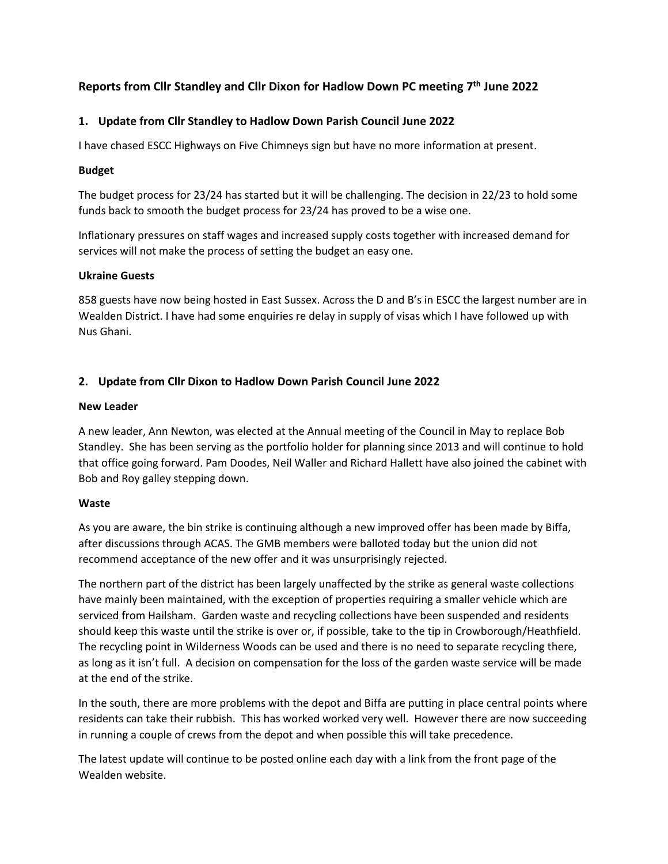# **Reports from Cllr Standley and Cllr Dixon for Hadlow Down PC meeting 7 th June 2022**

### **1. Update from Cllr Standley to Hadlow Down Parish Council June 2022**

I have chased ESCC Highways on Five Chimneys sign but have no more information at present.

### **Budget**

The budget process for 23/24 has started but it will be challenging. The decision in 22/23 to hold some funds back to smooth the budget process for 23/24 has proved to be a wise one.

Inflationary pressures on staff wages and increased supply costs together with increased demand for services will not make the process of setting the budget an easy one.

#### **Ukraine Guests**

858 guests have now being hosted in East Sussex. Across the D and B's in ESCC the largest number are in Wealden District. I have had some enquiries re delay in supply of visas which I have followed up with Nus Ghani.

# **2. Update from Cllr Dixon to Hadlow Down Parish Council June 2022**

### **New Leader**

A new leader, Ann Newton, was elected at the Annual meeting of the Council in May to replace Bob Standley. She has been serving as the portfolio holder for planning since 2013 and will continue to hold that office going forward. Pam Doodes, Neil Waller and Richard Hallett have also joined the cabinet with Bob and Roy galley stepping down.

# **Waste**

As you are aware, the bin strike is continuing although a new improved offer has been made by Biffa, after discussions through ACAS. The GMB members were balloted today but the union did not recommend acceptance of the new offer and it was unsurprisingly rejected.

The northern part of the district has been largely unaffected by the strike as general waste collections have mainly been maintained, with the exception of properties requiring a smaller vehicle which are serviced from Hailsham. Garden waste and recycling collections have been suspended and residents should keep this waste until the strike is over or, if possible, take to the tip in Crowborough/Heathfield. The recycling point in Wilderness Woods can be used and there is no need to separate recycling there, as long as it isn't full. A decision on compensation for the loss of the garden waste service will be made at the end of the strike.

In the south, there are more problems with the depot and Biffa are putting in place central points where residents can take their rubbish. This has worked worked very well. However there are now succeeding in running a couple of crews from the depot and when possible this will take precedence.

The latest update will continue to be posted online each day with a link from the front page of the Wealden website.